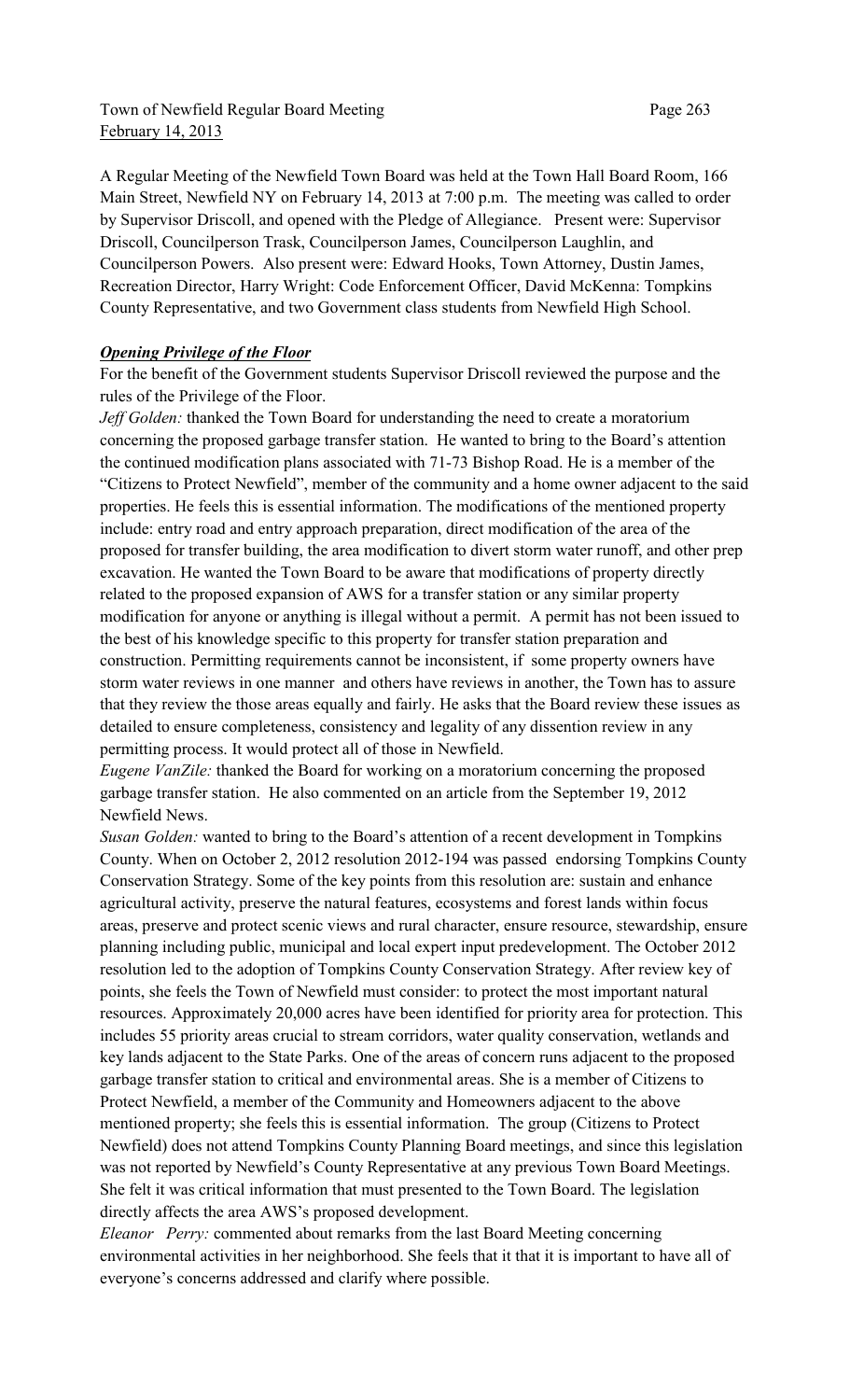Town of Newfield Regular Board Meeting Page 263 February 14, 2013

A Regular Meeting of the Newfield Town Board was held at the Town Hall Board Room, 166 Main Street, Newfield NY on February 14, 2013 at 7:00 p.m. The meeting was called to order by Supervisor Driscoll, and opened with the Pledge of Allegiance. Present were: Supervisor Driscoll, Councilperson Trask, Councilperson James, Councilperson Laughlin, and Councilperson Powers. Also present were: Edward Hooks, Town Attorney, Dustin James, Recreation Director, Harry Wright: Code Enforcement Officer, David McKenna: Tompkins County Representative, and two Government class students from Newfield High School.

### *Opening Privilege of the Floor*

For the benefit of the Government students Supervisor Driscoll reviewed the purpose and the rules of the Privilege of the Floor.

*Jeff Golden:* thanked the Town Board for understanding the need to create a moratorium concerning the proposed garbage transfer station. He wanted to bring to the Board's attention the continued modification plans associated with 71-73 Bishop Road. He is a member of the "Citizens to Protect Newfield", member of the community and a home owner adjacent to the said properties. He feels this is essential information. The modifications of the mentioned property include: entry road and entry approach preparation, direct modification of the area of the proposed for transfer building, the area modification to divert storm water runoff, and other prep excavation. He wanted the Town Board to be aware that modifications of property directly related to the proposed expansion of AWS for a transfer station or any similar property modification for anyone or anything is illegal without a permit. A permit has not been issued to the best of his knowledge specific to this property for transfer station preparation and construction. Permitting requirements cannot be inconsistent, if some property owners have storm water reviews in one manner and others have reviews in another, the Town has to assure that they review the those areas equally and fairly. He asks that the Board review these issues as detailed to ensure completeness, consistency and legality of any dissention review in any permitting process. It would protect all of those in Newfield.

*Eugene VanZile:* thanked the Board for working on a moratorium concerning the proposed garbage transfer station. He also commented on an article from the September 19, 2012 Newfield News.

*Susan Golden:* wanted to bring to the Board's attention of a recent development in Tompkins County. When on October 2, 2012 resolution 2012-194 was passed endorsing Tompkins County Conservation Strategy. Some of the key points from this resolution are: sustain and enhance agricultural activity, preserve the natural features, ecosystems and forest lands within focus areas, preserve and protect scenic views and rural character, ensure resource, stewardship, ensure planning including public, municipal and local expert input predevelopment. The October 2012 resolution led to the adoption of Tompkins County Conservation Strategy. After review key of points, she feels the Town of Newfield must consider: to protect the most important natural resources. Approximately 20,000 acres have been identified for priority area for protection. This includes 55 priority areas crucial to stream corridors, water quality conservation, wetlands and key lands adjacent to the State Parks. One of the areas of concern runs adjacent to the proposed garbage transfer station to critical and environmental areas. She is a member of Citizens to Protect Newfield, a member of the Community and Homeowners adjacent to the above mentioned property; she feels this is essential information. The group (Citizens to Protect Newfield) does not attend Tompkins County Planning Board meetings, and since this legislation was not reported by Newfield's County Representative at any previous Town Board Meetings. She felt it was critical information that must presented to the Town Board. The legislation directly affects the area AWS's proposed development.

*Eleanor Perry:* commented about remarks from the last Board Meeting concerning environmental activities in her neighborhood. She feels that it that it is important to have all of everyone's concerns addressed and clarify where possible.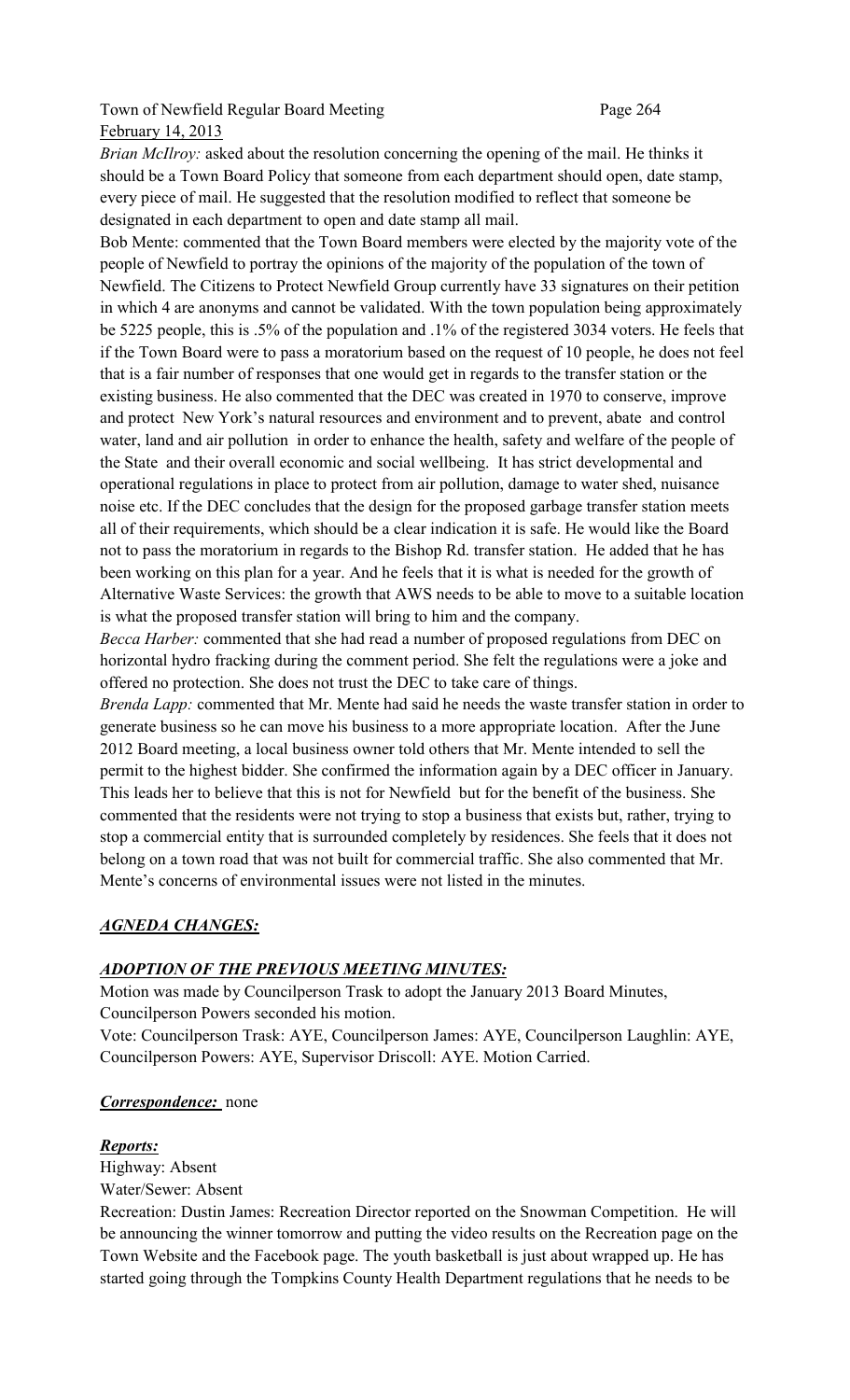# Town of Newfield Regular Board Meeting Page 264 February 14, 2013

*Brian McIlroy:* asked about the resolution concerning the opening of the mail. He thinks it should be a Town Board Policy that someone from each department should open, date stamp, every piece of mail. He suggested that the resolution modified to reflect that someone be designated in each department to open and date stamp all mail.

Bob Mente: commented that the Town Board members were elected by the majority vote of the people of Newfield to portray the opinions of the majority of the population of the town of Newfield. The Citizens to Protect Newfield Group currently have 33 signatures on their petition in which 4 are anonyms and cannot be validated. With the town population being approximately be 5225 people, this is .5% of the population and .1% of the registered 3034 voters. He feels that if the Town Board were to pass a moratorium based on the request of 10 people, he does not feel that is a fair number of responses that one would get in regards to the transfer station or the existing business. He also commented that the DEC was created in 1970 to conserve, improve and protect New York's natural resources and environment and to prevent, abate and control water, land and air pollution in order to enhance the health, safety and welfare of the people of the State and their overall economic and social wellbeing. It has strict developmental and operational regulations in place to protect from air pollution, damage to water shed, nuisance noise etc. If the DEC concludes that the design for the proposed garbage transfer station meets all of their requirements, which should be a clear indication it is safe. He would like the Board not to pass the moratorium in regards to the Bishop Rd. transfer station. He added that he has been working on this plan for a year. And he feels that it is what is needed for the growth of Alternative Waste Services: the growth that AWS needs to be able to move to a suitable location is what the proposed transfer station will bring to him and the company.

*Becca Harber:* commented that she had read a number of proposed regulations from DEC on horizontal hydro fracking during the comment period. She felt the regulations were a joke and offered no protection. She does not trust the DEC to take care of things.

*Brenda Lapp:* commented that Mr. Mente had said he needs the waste transfer station in order to generate business so he can move his business to a more appropriate location. After the June 2012 Board meeting, a local business owner told others that Mr. Mente intended to sell the permit to the highest bidder. She confirmed the information again by a DEC officer in January. This leads her to believe that this is not for Newfield but for the benefit of the business. She commented that the residents were not trying to stop a business that exists but, rather, trying to stop a commercial entity that is surrounded completely by residences. She feels that it does not belong on a town road that was not built for commercial traffic. She also commented that Mr. Mente's concerns of environmental issues were not listed in the minutes.

# *AGNEDA CHANGES:*

## *ADOPTION OF THE PREVIOUS MEETING MINUTES:*

Motion was made by Councilperson Trask to adopt the January 2013 Board Minutes, Councilperson Powers seconded his motion.

Vote: Councilperson Trask: AYE, Councilperson James: AYE, Councilperson Laughlin: AYE, Councilperson Powers: AYE, Supervisor Driscoll: AYE. Motion Carried.

## *Correspondence:* none

### *Reports:*

Highway: Absent Water/Sewer: Absent

Recreation: Dustin James: Recreation Director reported on the Snowman Competition. He will be announcing the winner tomorrow and putting the video results on the Recreation page on the Town Website and the Facebook page. The youth basketball is just about wrapped up. He has started going through the Tompkins County Health Department regulations that he needs to be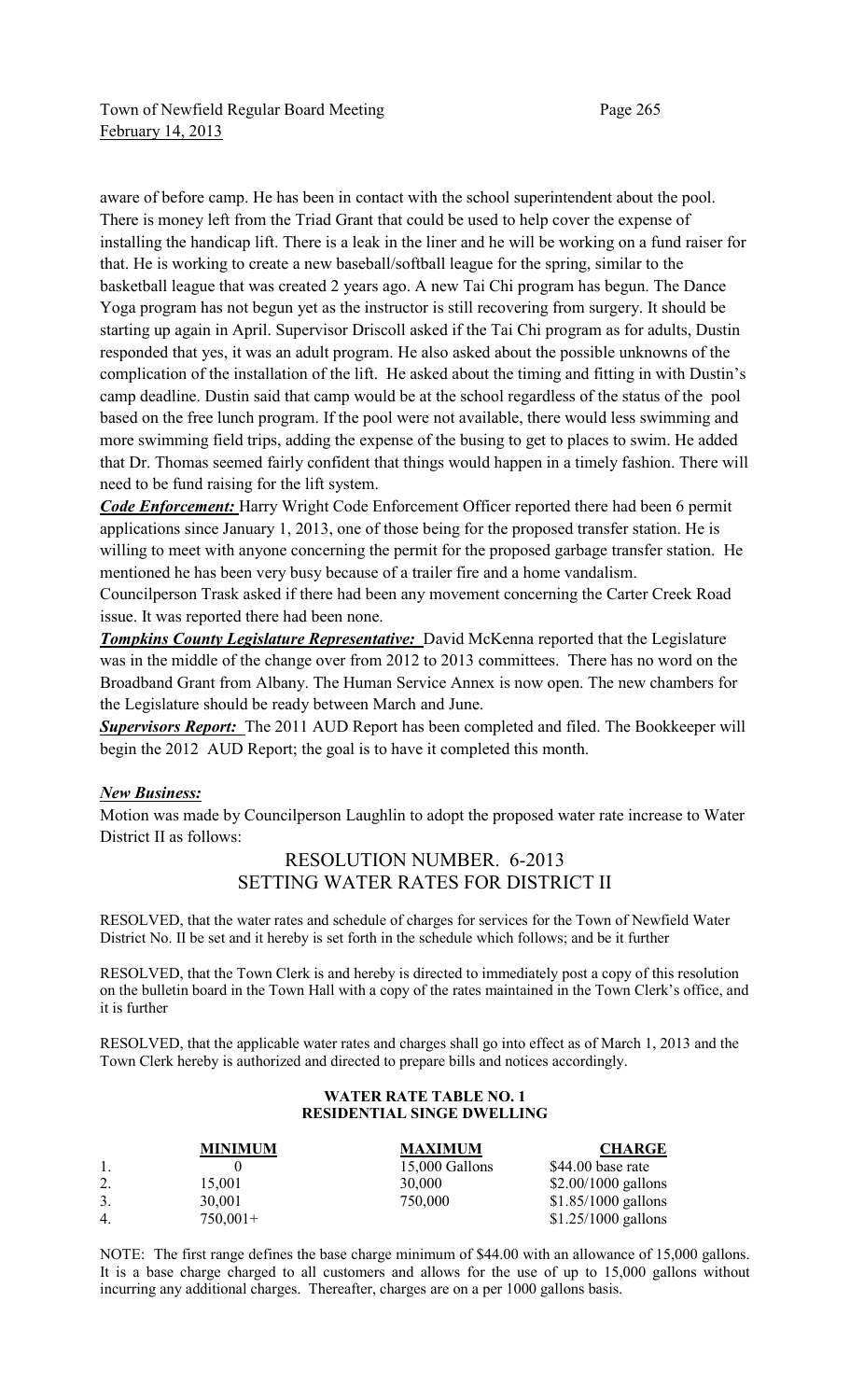aware of before camp. He has been in contact with the school superintendent about the pool. There is money left from the Triad Grant that could be used to help cover the expense of installing the handicap lift. There is a leak in the liner and he will be working on a fund raiser for that. He is working to create a new baseball/softball league for the spring, similar to the basketball league that was created 2 years ago. A new Tai Chi program has begun. The Dance Yoga program has not begun yet as the instructor is still recovering from surgery. It should be starting up again in April. Supervisor Driscoll asked if the Tai Chi program as for adults, Dustin responded that yes, it was an adult program. He also asked about the possible unknowns of the complication of the installation of the lift. He asked about the timing and fitting in with Dustin's camp deadline. Dustin said that camp would be at the school regardless of the status of the pool based on the free lunch program. If the pool were not available, there would less swimming and more swimming field trips, adding the expense of the busing to get to places to swim. He added that Dr. Thomas seemed fairly confident that things would happen in a timely fashion. There will need to be fund raising for the lift system.

*Code Enforcement:* Harry Wright Code Enforcement Officer reported there had been 6 permit applications since January 1, 2013, one of those being for the proposed transfer station. He is willing to meet with anyone concerning the permit for the proposed garbage transfer station. He mentioned he has been very busy because of a trailer fire and a home vandalism.

Councilperson Trask asked if there had been any movement concerning the Carter Creek Road issue. It was reported there had been none.

*Tompkins County Legislature Representative:* David McKenna reported that the Legislature was in the middle of the change over from 2012 to 2013 committees. There has no word on the Broadband Grant from Albany. The Human Service Annex is now open. The new chambers for the Legislature should be ready between March and June.

**Supervisors Report:** The 2011 AUD Report has been completed and filed. The Bookkeeper will begin the 2012 AUD Report; the goal is to have it completed this month.

### *New Business:*

Motion was made by Councilperson Laughlin to adopt the proposed water rate increase to Water District II as follows:

# RESOLUTION NUMBER. 6-2013 SETTING WATER RATES FOR DISTRICT II

RESOLVED, that the water rates and schedule of charges for services for the Town of Newfield Water District No. II be set and it hereby is set forth in the schedule which follows; and be it further

RESOLVED, that the Town Clerk is and hereby is directed to immediately post a copy of this resolution on the bulletin board in the Town Hall with a copy of the rates maintained in the Town Clerk's office, and it is further

RESOLVED, that the applicable water rates and charges shall go into effect as of March 1, 2013 and the Town Clerk hereby is authorized and directed to prepare bills and notices accordingly.

#### **WATER RATE TABLE NO. 1 RESIDENTIAL SINGE DWELLING**

|                | <b>MINIMUM</b> | <b>MAXIMUM</b> | <b>CHARGE</b>        |
|----------------|----------------|----------------|----------------------|
|                |                | 15,000 Gallons | \$44.00 base rate    |
| 2.             | 15,001         | 30,000         | $$2.00/1000$ gallons |
| 3.             | 30,001         | 750,000        | $$1.85/1000$ gallons |
| $\overline{4}$ | $750,001+$     |                | $$1.25/1000$ gallons |

NOTE: The first range defines the base charge minimum of \$44.00 with an allowance of 15,000 gallons. It is a base charge charged to all customers and allows for the use of up to 15,000 gallons without incurring any additional charges. Thereafter, charges are on a per 1000 gallons basis.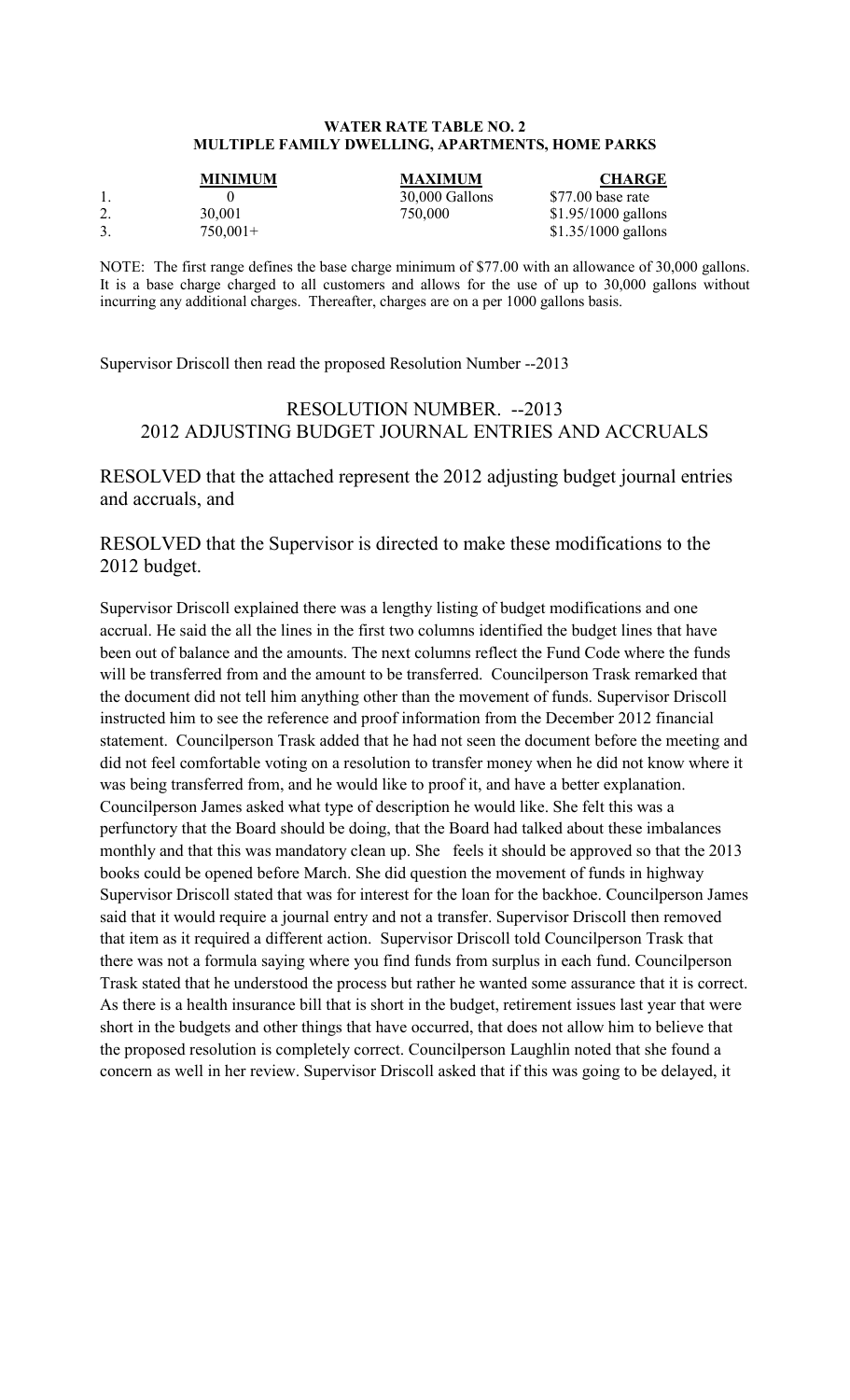#### **WATER RATE TABLE NO. 2 MULTIPLE FAMILY DWELLING, APARTMENTS, HOME PARKS**

|    | <b>MINIMUM</b>       | <b>MAXIMUM</b> | <b>CHARGE</b>                                |
|----|----------------------|----------------|----------------------------------------------|
|    |                      | 30,000 Gallons | \$77.00 base rate                            |
| 3. | 30.001<br>$750,001+$ | 750,000        | $$1.95/1000$ gallons<br>$$1.35/1000$ gallons |

NOTE: The first range defines the base charge minimum of \$77.00 with an allowance of 30,000 gallons. It is a base charge charged to all customers and allows for the use of up to 30,000 gallons without incurring any additional charges. Thereafter, charges are on a per 1000 gallons basis.

Supervisor Driscoll then read the proposed Resolution Number --2013

# RESOLUTION NUMBER. --2013 2012 ADJUSTING BUDGET JOURNAL ENTRIES AND ACCRUALS

RESOLVED that the attached represent the 2012 adjusting budget journal entries and accruals, and

RESOLVED that the Supervisor is directed to make these modifications to the 2012 budget.

Supervisor Driscoll explained there was a lengthy listing of budget modifications and one accrual. He said the all the lines in the first two columns identified the budget lines that have been out of balance and the amounts. The next columns reflect the Fund Code where the funds will be transferred from and the amount to be transferred. Councilperson Trask remarked that the document did not tell him anything other than the movement of funds. Supervisor Driscoll instructed him to see the reference and proof information from the December 2012 financial statement. Councilperson Trask added that he had not seen the document before the meeting and did not feel comfortable voting on a resolution to transfer money when he did not know where it was being transferred from, and he would like to proof it, and have a better explanation. Councilperson James asked what type of description he would like. She felt this was a perfunctory that the Board should be doing, that the Board had talked about these imbalances monthly and that this was mandatory clean up. She feels it should be approved so that the 2013 books could be opened before March. She did question the movement of funds in highway Supervisor Driscoll stated that was for interest for the loan for the backhoe. Councilperson James said that it would require a journal entry and not a transfer. Supervisor Driscoll then removed that item as it required a different action. Supervisor Driscoll told Councilperson Trask that there was not a formula saying where you find funds from surplus in each fund. Councilperson Trask stated that he understood the process but rather he wanted some assurance that it is correct. As there is a health insurance bill that is short in the budget, retirement issues last year that were short in the budgets and other things that have occurred, that does not allow him to believe that the proposed resolution is completely correct. Councilperson Laughlin noted that she found a concern as well in her review. Supervisor Driscoll asked that if this was going to be delayed, it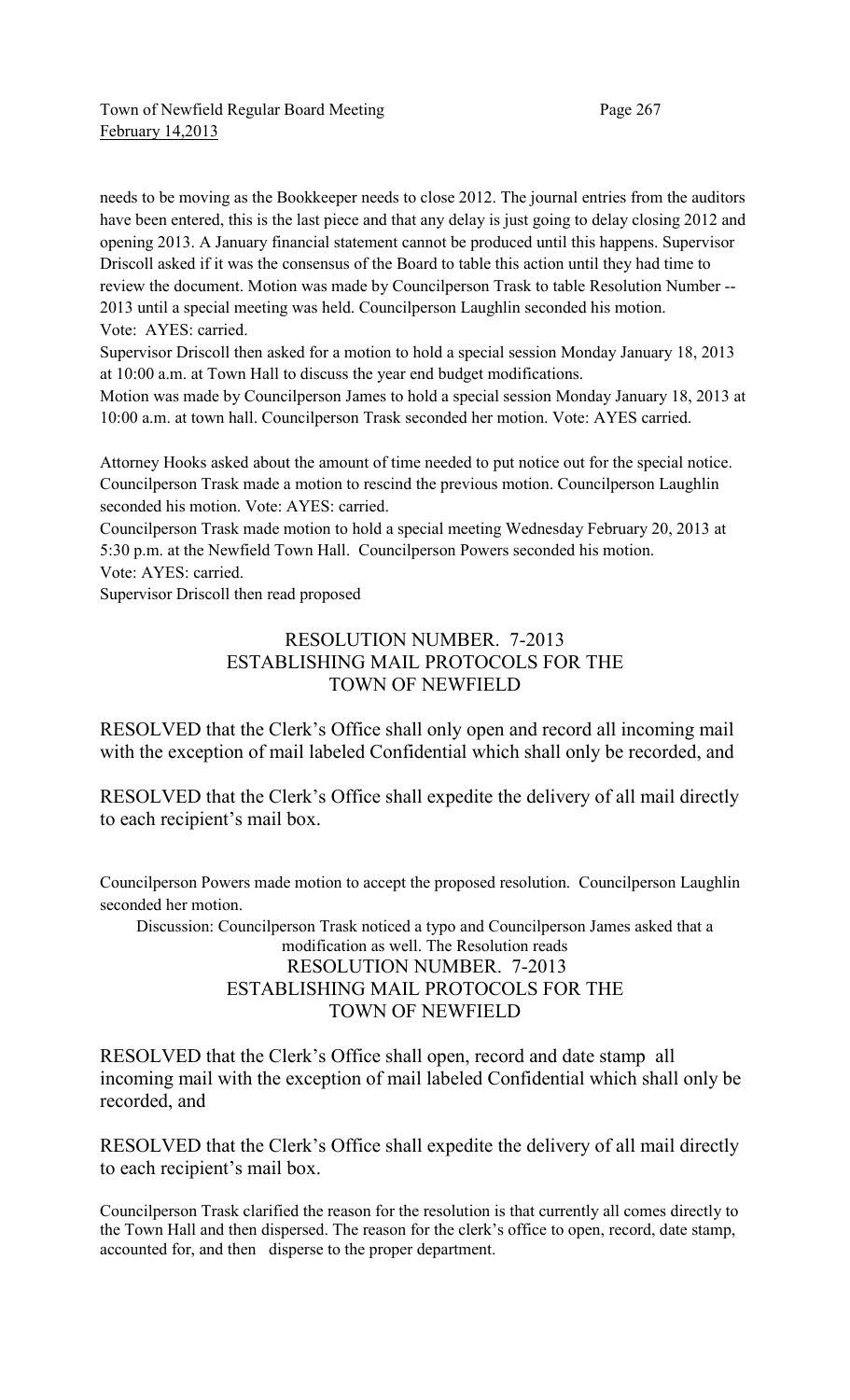needs to be moving as the Bookkeeper needs to close 2012. The journal entries from the auditors have been entered, this is the last piece and that any delay is just going to delay closing 2012 and opening 2013. A January financial statement cannot be produced until this happens. Supervisor Driscoll asked if it was the consensus of the Board to table this action until they had time to review the document. Motion was made by Councilperson Trask to table Resolution Number -- 2013 until a special meeting was held. Councilperson Laughlin seconded his motion. Vote: AYES: carried.

Supervisor Driscoll then asked for a motion to hold a special session Monday January 18, 2013 at 10:00 a.m. at Town Hall to discuss the year end budget modifications.

Motion was made by Councilperson James to hold a special session Monday January 18, 2013 at 10:00 a.m. at town hall. Councilperson Trask seconded her motion. Vote: AYES carried.

Attorney Hooks asked about the amount of time needed to put notice out for the special notice. Councilperson Trask made a motion to rescind the previous motion. Councilperson Laughlin seconded his motion. Vote: AYES: carried.

Councilperson Trask made motion to hold a special meeting Wednesday February 20, 2013 at 5:30 p.m. at the Newfield Town Hall. Councilperson Powers seconded his motion. Vote: AYES: carried.

Supervisor Driscoll then read proposed

# RESOLUTION NUMBER. 7-2013 ESTABLISHING MAIL PROTOCOLS FOR THE TOWN OF NEWFIELD

RESOLVED that the Clerk's Office shall only open and record all incoming mail with the exception of mail labeled Confidential which shall only be recorded, and

RESOLVED that the Clerk's Office shall expedite the delivery of all mail directly to each recipient's mail box.

Councilperson Powers made motion to accept the proposed resolution. Councilperson Laughlin seconded her motion.

Discussion: Councilperson Trask noticed a typo and Councilperson James asked that a modification as well. The Resolution reads RESOLUTION NUMBER. 7-2013 ESTABLISHING MAIL PROTOCOLS FOR THE TOWN OF NEWFIELD

RESOLVED that the Clerk's Office shall open, record and date stamp all incoming mail with the exception of mail labeled Confidential which shall only be recorded, and

RESOLVED that the Clerk's Office shall expedite the delivery of all mail directly to each recipient's mail box.

Councilperson Trask clarified the reason for the resolution is that currently all comes directly to the Town Hall and then dispersed. The reason for the clerk's office to open, record, date stamp, accounted for, and then disperse to the proper department.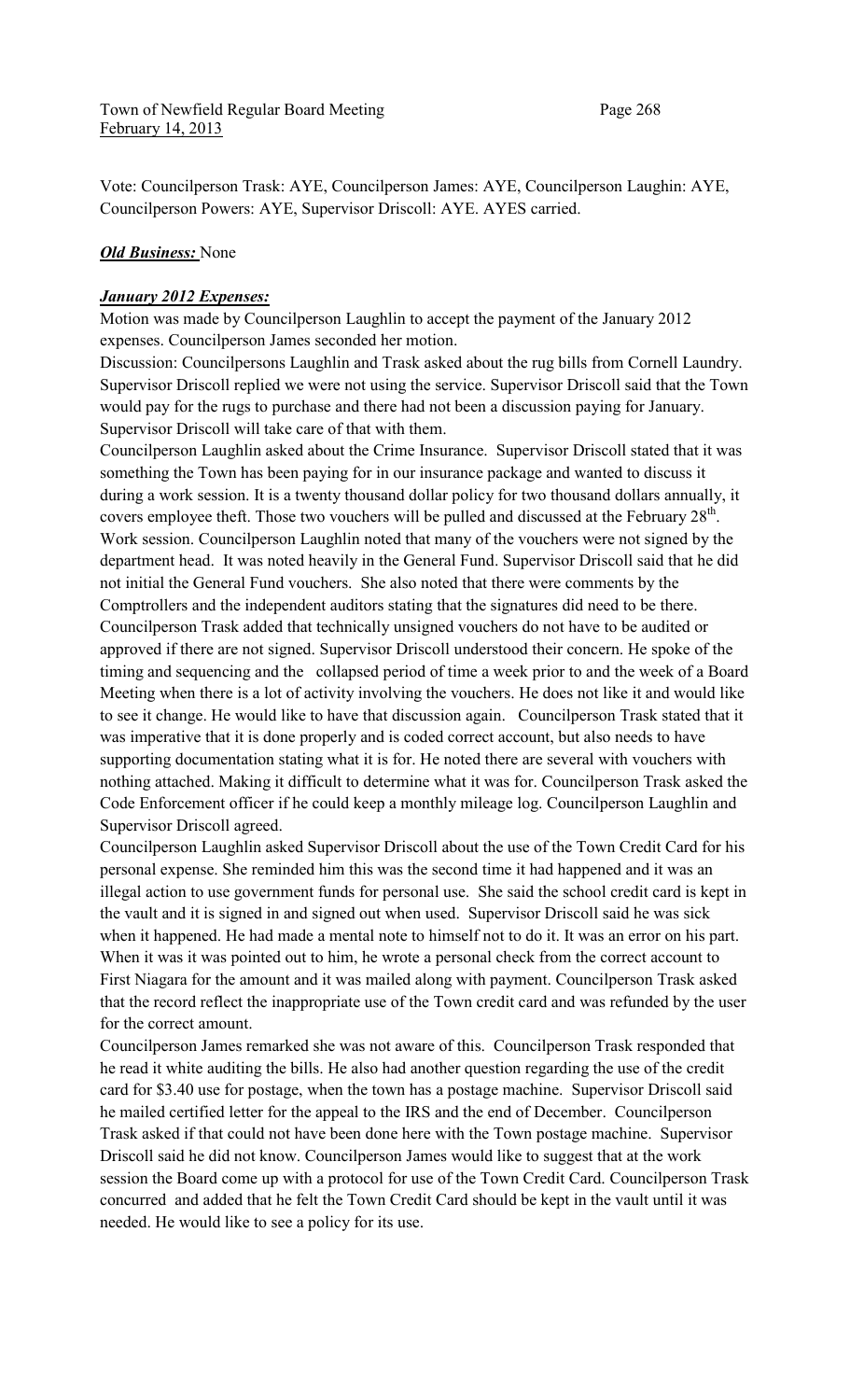Vote: Councilperson Trask: AYE, Councilperson James: AYE, Councilperson Laughin: AYE, Councilperson Powers: AYE, Supervisor Driscoll: AYE. AYES carried.

### *Old Business:* None

### *January 2012 Expenses:*

Motion was made by Councilperson Laughlin to accept the payment of the January 2012 expenses. Councilperson James seconded her motion.

Discussion: Councilpersons Laughlin and Trask asked about the rug bills from Cornell Laundry. Supervisor Driscoll replied we were not using the service. Supervisor Driscoll said that the Town would pay for the rugs to purchase and there had not been a discussion paying for January. Supervisor Driscoll will take care of that with them.

Councilperson Laughlin asked about the Crime Insurance. Supervisor Driscoll stated that it was something the Town has been paying for in our insurance package and wanted to discuss it during a work session. It is a twenty thousand dollar policy for two thousand dollars annually, it covers employee theft. Those two vouchers will be pulled and discussed at the February  $28<sup>th</sup>$ . Work session. Councilperson Laughlin noted that many of the vouchers were not signed by the department head. It was noted heavily in the General Fund. Supervisor Driscoll said that he did not initial the General Fund vouchers. She also noted that there were comments by the Comptrollers and the independent auditors stating that the signatures did need to be there. Councilperson Trask added that technically unsigned vouchers do not have to be audited or approved if there are not signed. Supervisor Driscoll understood their concern. He spoke of the timing and sequencing and the collapsed period of time a week prior to and the week of a Board Meeting when there is a lot of activity involving the vouchers. He does not like it and would like to see it change. He would like to have that discussion again. Councilperson Trask stated that it was imperative that it is done properly and is coded correct account, but also needs to have supporting documentation stating what it is for. He noted there are several with vouchers with nothing attached. Making it difficult to determine what it was for. Councilperson Trask asked the Code Enforcement officer if he could keep a monthly mileage log. Councilperson Laughlin and Supervisor Driscoll agreed.

Councilperson Laughlin asked Supervisor Driscoll about the use of the Town Credit Card for his personal expense. She reminded him this was the second time it had happened and it was an illegal action to use government funds for personal use. She said the school credit card is kept in the vault and it is signed in and signed out when used. Supervisor Driscoll said he was sick when it happened. He had made a mental note to himself not to do it. It was an error on his part. When it was it was pointed out to him, he wrote a personal check from the correct account to First Niagara for the amount and it was mailed along with payment. Councilperson Trask asked that the record reflect the inappropriate use of the Town credit card and was refunded by the user for the correct amount.

Councilperson James remarked she was not aware of this. Councilperson Trask responded that he read it white auditing the bills. He also had another question regarding the use of the credit card for \$3.40 use for postage, when the town has a postage machine. Supervisor Driscoll said he mailed certified letter for the appeal to the IRS and the end of December. Councilperson Trask asked if that could not have been done here with the Town postage machine. Supervisor Driscoll said he did not know. Councilperson James would like to suggest that at the work session the Board come up with a protocol for use of the Town Credit Card. Councilperson Trask concurred and added that he felt the Town Credit Card should be kept in the vault until it was needed. He would like to see a policy for its use.